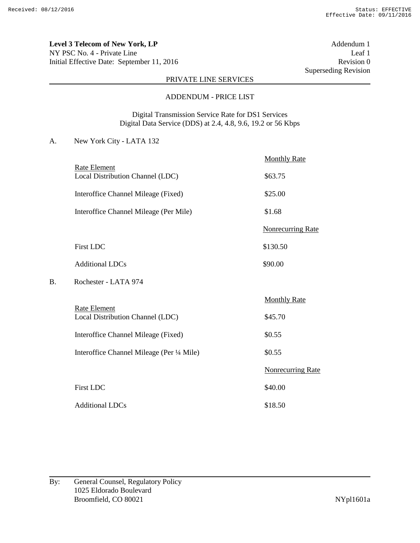**Level 3 Telecom of New York, LP** Addendum 1 NY PSC No. 4 - Private Line Leaf 1 Initial Effective Date: September 11, 2016 Revision 0

Superseding Revision

# PRIVATE LINE SERVICES

#### ADDENDUM - PRICE LIST

Digital Transmission Service Rate for DS1 Services Digital Data Service (DDS) at 2.4, 4.8, 9.6, 19.2 or 56 Kbps

|    |                                                         | <b>Monthly Rate</b>      |
|----|---------------------------------------------------------|--------------------------|
|    | Rate Element<br>Local Distribution Channel (LDC)        | \$63.75                  |
|    | Interoffice Channel Mileage (Fixed)                     | \$25.00                  |
|    | Interoffice Channel Mileage (Per Mile)                  | \$1.68                   |
|    |                                                         | <b>Nonrecurring Rate</b> |
|    | <b>First LDC</b>                                        | \$130.50                 |
|    | <b>Additional LDCs</b>                                  | \$90.00                  |
| В. | Rochester - LATA 974                                    |                          |
|    |                                                         | <b>Monthly Rate</b>      |
|    | <b>Rate Element</b><br>Local Distribution Channel (LDC) | \$45.70                  |
|    | Interoffice Channel Mileage (Fixed)                     | \$0.55                   |
|    | Interoffice Channel Mileage (Per 1/4 Mile)              | \$0.55                   |
|    |                                                         | <b>Nonrecurring Rate</b> |
|    | <b>First LDC</b>                                        | \$40.00                  |
|    | <b>Additional LDCs</b>                                  | \$18.50                  |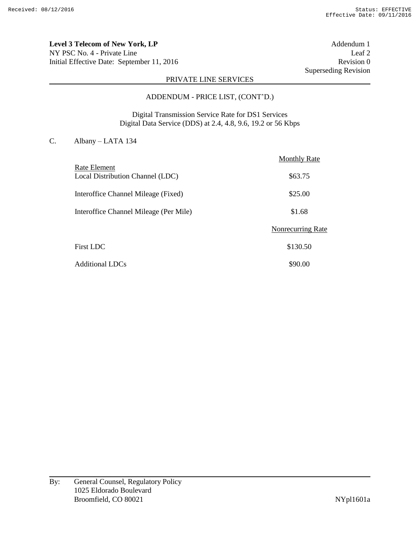**Level 3 Telecom of New York, LP** Addendum 1 NY PSC No. 4 - Private Line Leaf 2 Initial Effective Date: September 11, 2016 Revision 0

Superseding Revision

## PRIVATE LINE SERVICES

#### ADDENDUM - PRICE LIST, (CONT'D.)

Digital Transmission Service Rate for DS1 Services Digital Data Service (DDS) at 2.4, 4.8, 9.6, 19.2 or 56 Kbps

# C. Albany – LATA 134

|                                        | <b>Monthly Rate</b>      |
|----------------------------------------|--------------------------|
| Rate Element                           |                          |
| Local Distribution Channel (LDC)       | \$63.75                  |
| Interoffice Channel Mileage (Fixed)    | \$25.00                  |
| Interoffice Channel Mileage (Per Mile) | \$1.68                   |
|                                        | <b>Nonrecurring Rate</b> |
| <b>First LDC</b>                       | \$130.50                 |
| <b>Additional LDCs</b>                 | \$90.00                  |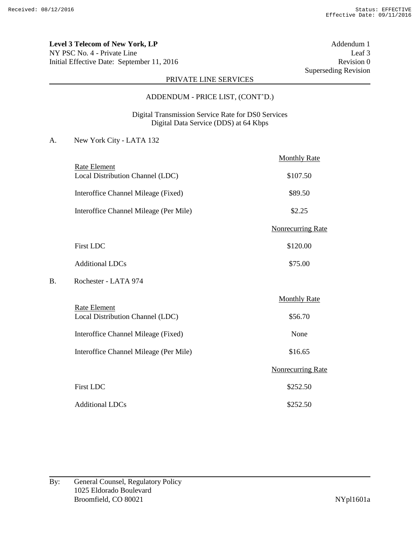**Level 3 Telecom of New York, LP** Addendum 1 NY PSC No. 4 - Private Line Leaf 3 Initial Effective Date: September 11, 2016 Revision 0

Superseding Revision

## PRIVATE LINE SERVICES

#### ADDENDUM - PRICE LIST, (CONT'D.)

### Digital Transmission Service Rate for DS0 Services Digital Data Service (DDS) at 64 Kbps

|    |                                                         | <b>Monthly Rate</b>      |
|----|---------------------------------------------------------|--------------------------|
|    | <b>Rate Element</b><br>Local Distribution Channel (LDC) | \$107.50                 |
|    | Interoffice Channel Mileage (Fixed)                     | \$89.50                  |
|    | Interoffice Channel Mileage (Per Mile)                  | \$2.25                   |
|    |                                                         | <b>Nonrecurring Rate</b> |
|    | <b>First LDC</b>                                        | \$120.00                 |
|    | <b>Additional LDCs</b>                                  | \$75.00                  |
| В. | Rochester - LATA 974                                    |                          |
|    |                                                         | <b>Monthly Rate</b>      |
|    | <b>Rate Element</b><br>Local Distribution Channel (LDC) | \$56.70                  |
|    | Interoffice Channel Mileage (Fixed)                     | None                     |
|    | Interoffice Channel Mileage (Per Mile)                  | \$16.65                  |
|    |                                                         | <b>Nonrecurring Rate</b> |
|    | <b>First LDC</b>                                        | \$252.50                 |
|    | <b>Additional LDCs</b>                                  | \$252.50                 |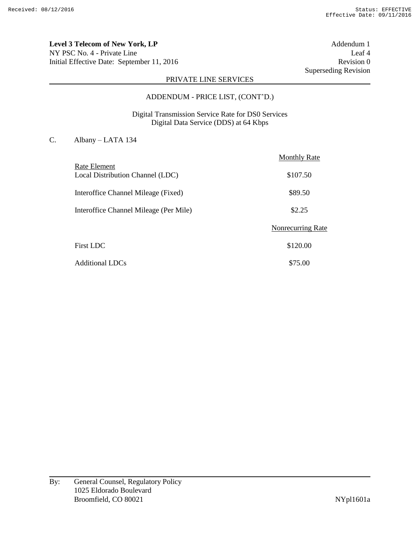**Level 3 Telecom of New York, LP** Addendum 1 NY PSC No. 4 - Private Line Leaf 4 Initial Effective Date: September 11, 2016 Revision 0

Superseding Revision

## PRIVATE LINE SERVICES

#### ADDENDUM - PRICE LIST, (CONT'D.)

## Digital Transmission Service Rate for DS0 Services Digital Data Service (DDS) at 64 Kbps

# C. Albany – LATA 134

|                                        | <b>Monthly Rate</b> |
|----------------------------------------|---------------------|
| Rate Element                           |                     |
| Local Distribution Channel (LDC)       | \$107.50            |
| Interoffice Channel Mileage (Fixed)    | \$89.50             |
| Interoffice Channel Mileage (Per Mile) | \$2.25              |
|                                        | Nonrecurring Rate   |
| <b>First LDC</b>                       | \$120.00            |
| <b>Additional LDCs</b>                 | \$75.00             |

By: General Counsel, Regulatory Policy 1025 Eldorado Boulevard Broomfield, CO 80021 NYpl1601a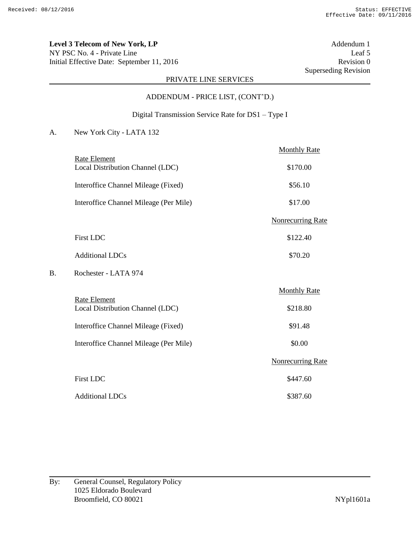**Level 3 Telecom of New York, LP** Addendum 1 NY PSC No. 4 - Private Line Leaf 5 Initial Effective Date: September 11, 2016 Revision 0

Superseding Revision

## PRIVATE LINE SERVICES

# ADDENDUM - PRICE LIST, (CONT'D.)

## Digital Transmission Service Rate for DS1 – Type I

|    |                                                         | <b>Monthly Rate</b>      |
|----|---------------------------------------------------------|--------------------------|
|    | <b>Rate Element</b><br>Local Distribution Channel (LDC) | \$170.00                 |
|    | Interoffice Channel Mileage (Fixed)                     | \$56.10                  |
|    | Interoffice Channel Mileage (Per Mile)                  | \$17.00                  |
|    |                                                         | <b>Nonrecurring Rate</b> |
|    | <b>First LDC</b>                                        | \$122.40                 |
|    | <b>Additional LDCs</b>                                  | \$70.20                  |
| В. | Rochester - LATA 974                                    |                          |
|    |                                                         | <b>Monthly Rate</b>      |
|    | Rate Element<br>Local Distribution Channel (LDC)        | \$218.80                 |
|    | Interoffice Channel Mileage (Fixed)                     | \$91.48                  |
|    | Interoffice Channel Mileage (Per Mile)                  | \$0.00                   |
|    |                                                         | <b>Nonrecurring Rate</b> |
|    | <b>First LDC</b>                                        | \$447.60                 |
|    | <b>Additional LDCs</b>                                  | \$387.60                 |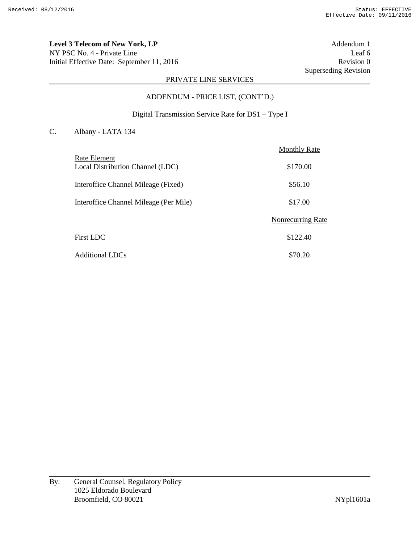**Level 3 Telecom of New York, LP** Addendum 1 NY PSC No. 4 - Private Line Leaf 6 Initial Effective Date: September 11, 2016 Revision 0

Superseding Revision

## PRIVATE LINE SERVICES

# ADDENDUM - PRICE LIST, (CONT'D.)

## Digital Transmission Service Rate for DS1 – Type I

#### C. Albany - LATA 134

|                                        | <b>Monthly Rate</b> |
|----------------------------------------|---------------------|
| Rate Element                           |                     |
| Local Distribution Channel (LDC)       | \$170.00            |
| Interoffice Channel Mileage (Fixed)    | \$56.10             |
| Interoffice Channel Mileage (Per Mile) | \$17.00             |
|                                        | Nonrecurring Rate   |
| <b>First LDC</b>                       | \$122.40            |
| <b>Additional LDCs</b>                 | \$70.20             |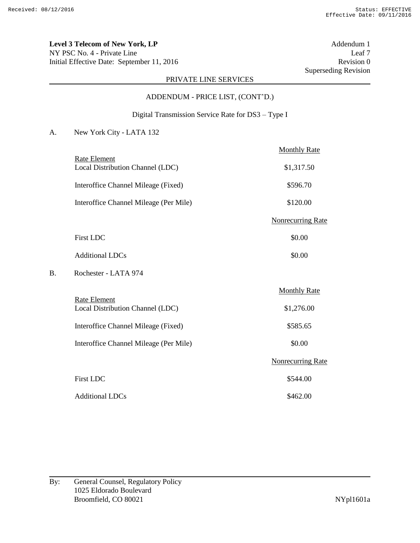**Level 3 Telecom of New York, LP** Addendum 1 NY PSC No. 4 - Private Line Leaf 7 Initial Effective Date: September 11, 2016 Revision 0

Superseding Revision

## PRIVATE LINE SERVICES

# ADDENDUM - PRICE LIST, (CONT'D.)

## Digital Transmission Service Rate for DS3 – Type I

|    |                                                         | <b>Monthly Rate</b>      |
|----|---------------------------------------------------------|--------------------------|
|    | <b>Rate Element</b><br>Local Distribution Channel (LDC) | \$1,317.50               |
|    | Interoffice Channel Mileage (Fixed)                     | \$596.70                 |
|    | Interoffice Channel Mileage (Per Mile)                  | \$120.00                 |
|    |                                                         | <b>Nonrecurring Rate</b> |
|    | <b>First LDC</b>                                        | \$0.00                   |
|    | <b>Additional LDCs</b>                                  | \$0.00                   |
| B. | Rochester - LATA 974                                    |                          |
|    |                                                         | <b>Monthly Rate</b>      |
|    | Rate Element<br>Local Distribution Channel (LDC)        | \$1,276.00               |
|    | Interoffice Channel Mileage (Fixed)                     | \$585.65                 |
|    | Interoffice Channel Mileage (Per Mile)                  | \$0.00                   |
|    |                                                         | <b>Nonrecurring Rate</b> |
|    | <b>First LDC</b>                                        | \$544.00                 |
|    | <b>Additional LDCs</b>                                  | \$462.00                 |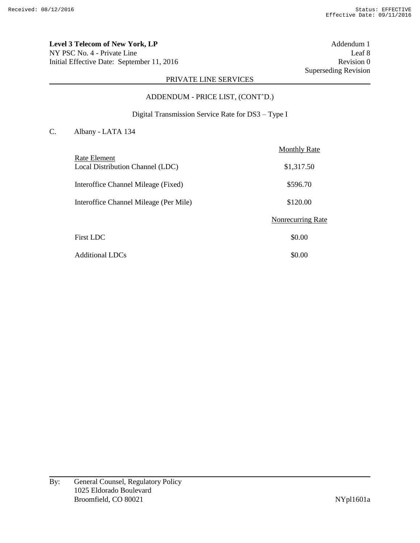**Level 3 Telecom of New York, LP** Addendum 1 NY PSC No. 4 - Private Line Leaf 8 Initial Effective Date: September 11, 2016 Revision 0

Superseding Revision

## PRIVATE LINE SERVICES

# ADDENDUM - PRICE LIST, (CONT'D.)

## Digital Transmission Service Rate for DS3 – Type I

#### C. Albany - LATA 134

|                                                  | <b>Monthly Rate</b> |
|--------------------------------------------------|---------------------|
| Rate Element<br>Local Distribution Channel (LDC) | \$1,317.50          |
| Interoffice Channel Mileage (Fixed)              | \$596.70            |
| Interoffice Channel Mileage (Per Mile)           | \$120.00            |
|                                                  | Nonrecurring Rate   |
| First LDC                                        | \$0.00              |
| Additional LDCs                                  | \$0.00              |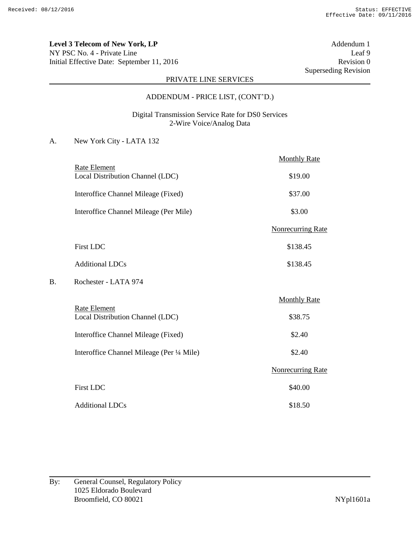**Level 3 Telecom of New York, LP** Addendum 1 NY PSC No. 4 - Private Line Leaf 9 Initial Effective Date: September 11, 2016 Revision 0

Superseding Revision

## PRIVATE LINE SERVICES

#### ADDENDUM - PRICE LIST, (CONT'D.)

## Digital Transmission Service Rate for DS0 Services 2-Wire Voice/Analog Data

|    |                                                         | <b>Monthly Rate</b>      |
|----|---------------------------------------------------------|--------------------------|
|    | <b>Rate Element</b><br>Local Distribution Channel (LDC) | \$19.00                  |
|    | Interoffice Channel Mileage (Fixed)                     | \$37.00                  |
|    | Interoffice Channel Mileage (Per Mile)                  | \$3.00                   |
|    |                                                         | <b>Nonrecurring Rate</b> |
|    | <b>First LDC</b>                                        | \$138.45                 |
|    | <b>Additional LDCs</b>                                  | \$138.45                 |
| В. | Rochester - LATA 974                                    |                          |
|    |                                                         | <b>Monthly Rate</b>      |
|    | <b>Rate Element</b><br>Local Distribution Channel (LDC) | \$38.75                  |
|    | Interoffice Channel Mileage (Fixed)                     | \$2.40                   |
|    | Interoffice Channel Mileage (Per 1/4 Mile)              | \$2.40                   |
|    |                                                         | <b>Nonrecurring Rate</b> |
|    | <b>First LDC</b>                                        | \$40.00                  |
|    | <b>Additional LDCs</b>                                  | \$18.50                  |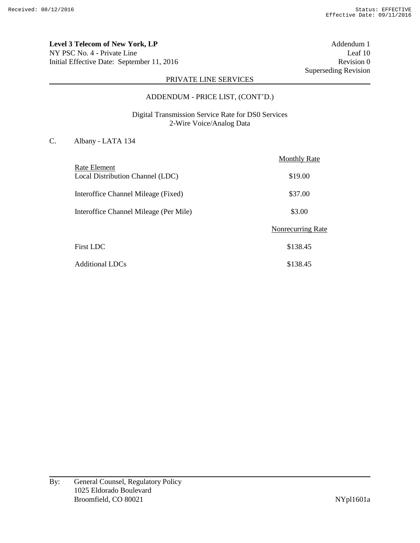**Level 3 Telecom of New York, LP** Addendum 1 NY PSC No. 4 - Private Line Leaf 10 Initial Effective Date: September 11, 2016 Revision 0

Superseding Revision

## PRIVATE LINE SERVICES

#### ADDENDUM - PRICE LIST, (CONT'D.)

Digital Transmission Service Rate for DS0 Services 2-Wire Voice/Analog Data

# C. Albany - LATA 134

|                                                  | <b>Monthly Rate</b>      |
|--------------------------------------------------|--------------------------|
| Rate Element<br>Local Distribution Channel (LDC) | \$19.00                  |
| Interoffice Channel Mileage (Fixed)              | \$37.00                  |
| Interoffice Channel Mileage (Per Mile)           | \$3.00                   |
|                                                  | <b>Nonrecurring Rate</b> |
| <b>First LDC</b>                                 | \$138.45                 |
| <b>Additional LDCs</b>                           | \$138.45                 |

By: General Counsel, Regulatory Policy 1025 Eldorado Boulevard Broomfield, CO 80021 NYpl1601a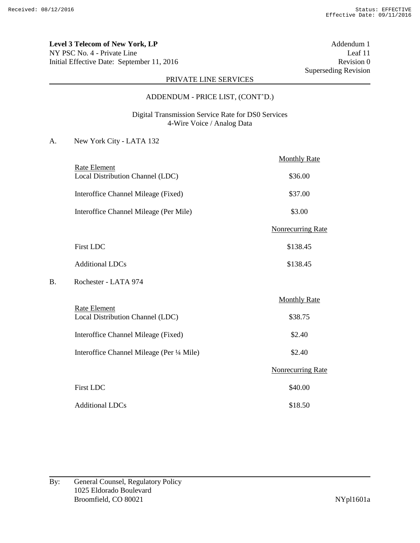**Level 3 Telecom of New York, LP** Addendum 1 NY PSC No. 4 - Private Line Leaf 11 Initial Effective Date: September 11, 2016 Revision 0

Superseding Revision

## PRIVATE LINE SERVICES

#### ADDENDUM - PRICE LIST, (CONT'D.)

## Digital Transmission Service Rate for DS0 Services 4-Wire Voice / Analog Data

|    |                                                         | <b>Monthly Rate</b>      |
|----|---------------------------------------------------------|--------------------------|
|    | <b>Rate Element</b><br>Local Distribution Channel (LDC) | \$36.00                  |
|    | Interoffice Channel Mileage (Fixed)                     | \$37.00                  |
|    | Interoffice Channel Mileage (Per Mile)                  | \$3.00                   |
|    |                                                         | <b>Nonrecurring Rate</b> |
|    | <b>First LDC</b>                                        | \$138.45                 |
|    | <b>Additional LDCs</b>                                  | \$138.45                 |
| В. | Rochester - LATA 974                                    |                          |
|    |                                                         | <b>Monthly Rate</b>      |
|    | <b>Rate Element</b><br>Local Distribution Channel (LDC) | \$38.75                  |
|    | Interoffice Channel Mileage (Fixed)                     | \$2.40                   |
|    | Interoffice Channel Mileage (Per 1/4 Mile)              | \$2.40                   |
|    |                                                         | <b>Nonrecurring Rate</b> |
|    | <b>First LDC</b>                                        | \$40.00                  |
|    | <b>Additional LDCs</b>                                  | \$18.50                  |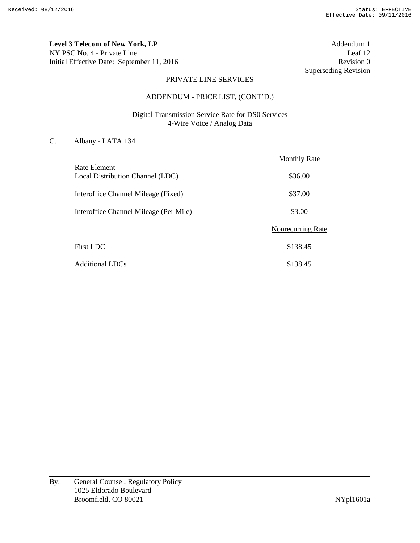**Level 3 Telecom of New York, LP** Addendum 1 NY PSC No. 4 - Private Line Leaf 12 Initial Effective Date: September 11, 2016 Revision 0

Superseding Revision

## PRIVATE LINE SERVICES

#### ADDENDUM - PRICE LIST, (CONT'D.)

Digital Transmission Service Rate for DS0 Services 4-Wire Voice / Analog Data

# C. Albany - LATA 134

|                                                  | <b>Monthly Rate</b>      |
|--------------------------------------------------|--------------------------|
| Rate Element<br>Local Distribution Channel (LDC) | \$36.00                  |
| Interoffice Channel Mileage (Fixed)              | \$37.00                  |
| Interoffice Channel Mileage (Per Mile)           | \$3.00                   |
|                                                  | <b>Nonrecurring Rate</b> |
| <b>First LDC</b>                                 | \$138.45                 |
| <b>Additional LDCs</b>                           | \$138.45                 |

By: General Counsel, Regulatory Policy 1025 Eldorado Boulevard Broomfield, CO 80021 NYpl1601a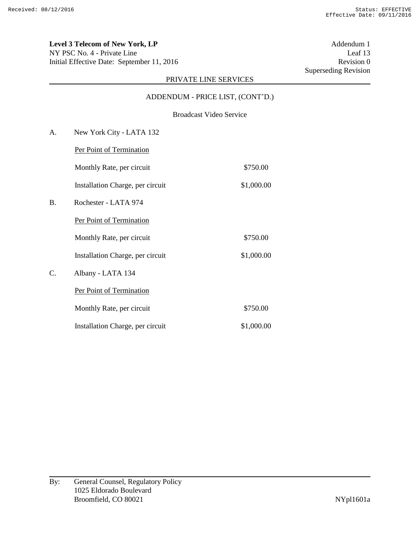**Level 3 Telecom of New York, LP** Addendum 1 NY PSC No. 4 - Private Line Leaf 13 Initial Effective Date: September 11, 2016 Revision 0

Superseding Revision

## PRIVATE LINE SERVICES

ADDENDUM - PRICE LIST, (CONT'D.)

Broadcast Video Service

A. New York City - LATA 132 Per Point of Termination Monthly Rate, per circuit \$750.00 Installation Charge, per circuit \$1,000.00 B. Rochester - LATA 974 Per Point of Termination Monthly Rate, per circuit \$750.00 Installation Charge, per circuit \$1,000.00 C. Albany - LATA 134 Per Point of Termination Monthly Rate, per circuit \$750.00 Installation Charge, per circuit \$1,000.00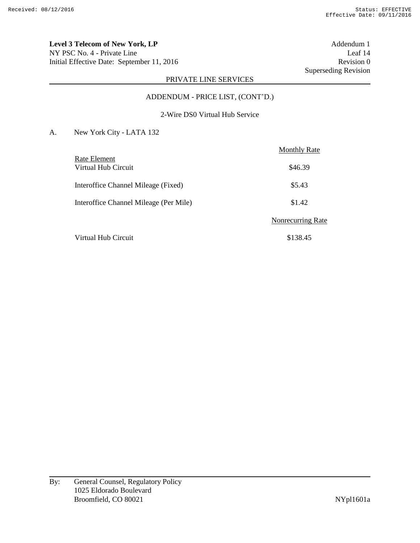**Level 3 Telecom of New York, LP** Addendum 1 NY PSC No. 4 - Private Line Leaf 14 Initial Effective Date: September 11, 2016 Revision 0

Superseding Revision

# PRIVATE LINE SERVICES

#### ADDENDUM - PRICE LIST, (CONT'D.)

## 2-Wire DS0 Virtual Hub Service

|                                        | <b>Monthly Rate</b> |
|----------------------------------------|---------------------|
| Rate Element<br>Virtual Hub Circuit    | \$46.39             |
| Interoffice Channel Mileage (Fixed)    | \$5.43              |
| Interoffice Channel Mileage (Per Mile) | \$1.42              |
|                                        | Nonrecurring Rate   |
| Virtual Hub Circuit                    | \$138.45            |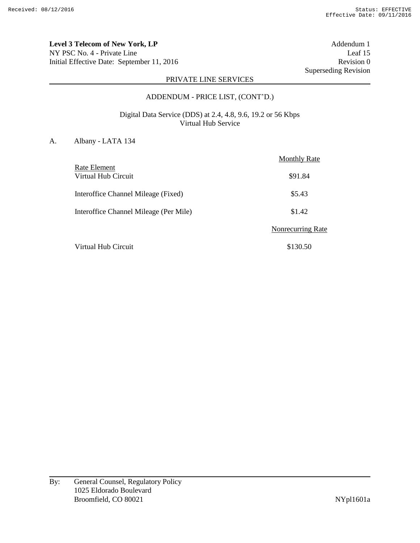**Level 3 Telecom of New York, LP** Addendum 1 NY PSC No. 4 - Private Line Leaf 15 Initial Effective Date: September 11, 2016 Revision 0

Superseding Revision

## PRIVATE LINE SERVICES

#### ADDENDUM - PRICE LIST, (CONT'D.)

## Digital Data Service (DDS) at 2.4, 4.8, 9.6, 19.2 or 56 Kbps Virtual Hub Service

#### A. Albany - LATA 134

|                                        | <b>Monthly Rate</b>      |
|----------------------------------------|--------------------------|
| Rate Element<br>Virtual Hub Circuit    | \$91.84                  |
| Interoffice Channel Mileage (Fixed)    | \$5.43                   |
| Interoffice Channel Mileage (Per Mile) | \$1.42                   |
|                                        | <b>Nonrecurring Rate</b> |
| Virtual Hub Circuit                    | \$130.50                 |

By: General Counsel, Regulatory Policy 1025 Eldorado Boulevard Broomfield, CO 80021 NYpl1601a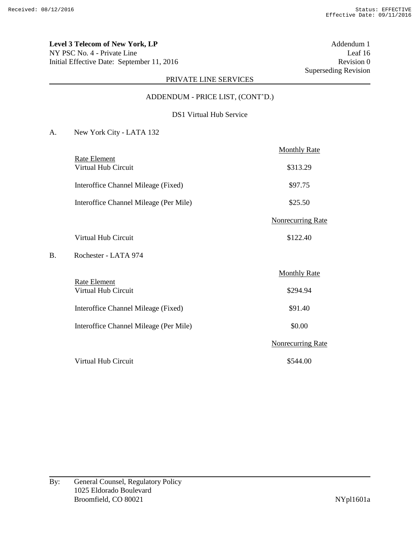**Level 3 Telecom of New York, LP** Addendum 1 NY PSC No. 4 - Private Line Leaf 16 Initial Effective Date: September 11, 2016 Revision 0

Superseding Revision

## PRIVATE LINE SERVICES

### ADDENDUM - PRICE LIST, (CONT'D.)

#### DS1 Virtual Hub Service

|    |                                        | <b>Monthly Rate</b>      |
|----|----------------------------------------|--------------------------|
|    | Rate Element<br>Virtual Hub Circuit    | \$313.29                 |
|    | Interoffice Channel Mileage (Fixed)    | \$97.75                  |
|    | Interoffice Channel Mileage (Per Mile) | \$25.50                  |
|    |                                        | <b>Nonrecurring Rate</b> |
|    | Virtual Hub Circuit                    | \$122.40                 |
| В. | Rochester - LATA 974                   |                          |
|    |                                        | <b>Monthly Rate</b>      |
|    | Rate Element<br>Virtual Hub Circuit    | \$294.94                 |
|    | Interoffice Channel Mileage (Fixed)    | \$91.40                  |
|    | Interoffice Channel Mileage (Per Mile) | \$0.00                   |
|    |                                        | <b>Nonrecurring Rate</b> |
|    | Virtual Hub Circuit                    | \$544.00                 |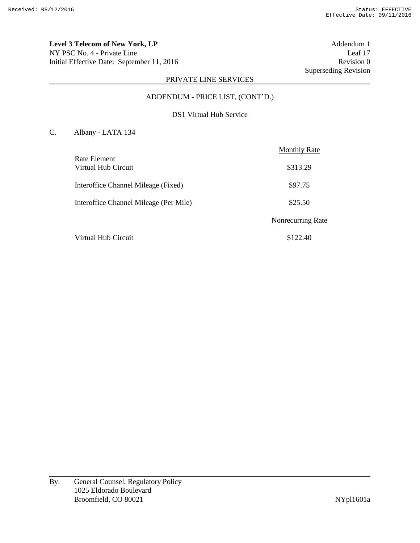**Level 3 Telecom of New York, LP** Addendum 1 NY PSC No. 4 - Private Line Leaf 17 Initial Effective Date: September 11, 2016 Revision 0

Superseding Revision

# PRIVATE LINE SERVICES

### ADDENDUM - PRICE LIST, (CONT'D.)

#### DS1 Virtual Hub Service

# C. Albany - LATA 134

|                                        | <b>Monthly Rate</b> |
|----------------------------------------|---------------------|
| Rate Element<br>Virtual Hub Circuit    | \$313.29            |
| Interoffice Channel Mileage (Fixed)    | \$97.75             |
| Interoffice Channel Mileage (Per Mile) | \$25.50             |
|                                        | Nonrecurring Rate   |
| Virtual Hub Circuit                    | \$122.40            |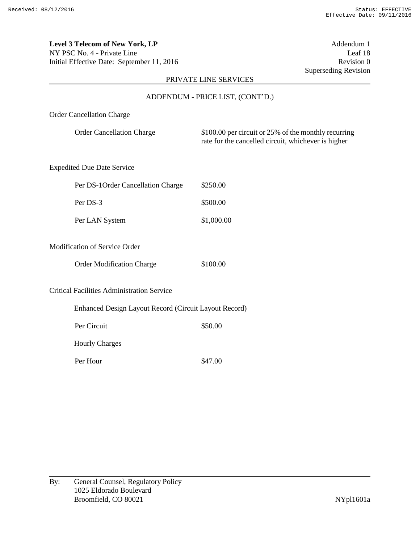**Level 3 Telecom of New York, LP** Addendum 1 NY PSC No. 4 - Private Line Leaf 18 Initial Effective Date: September 11, 2016 Revision 0

Superseding Revision

## PRIVATE LINE SERVICES

#### ADDENDUM - PRICE LIST, (CONT'D.)

### Order Cancellation Charge

| <b>Order Cancellation Charge</b> | \$100.00 per circuit or 25% of the monthly recurring |
|----------------------------------|------------------------------------------------------|
|                                  | rate for the cancelled circuit, whichever is higher  |

## Expedited Due Date Service

| Per DS-1 Order Cancellation Charge | \$250.00   |
|------------------------------------|------------|
| Per DS-3                           | \$500.00   |
| Per LAN System                     | \$1,000.00 |

## Modification of Service Order

| <b>Order Modification Charge</b> |  | \$100.00 |
|----------------------------------|--|----------|
|----------------------------------|--|----------|

Critical Facilities Administration Service

|                       | Enhanced Design Layout Record (Circuit Layout Record) |
|-----------------------|-------------------------------------------------------|
| Per Circuit           | \$50.00                                               |
| <b>Hourly Charges</b> |                                                       |
| Per Hour              | \$47.00                                               |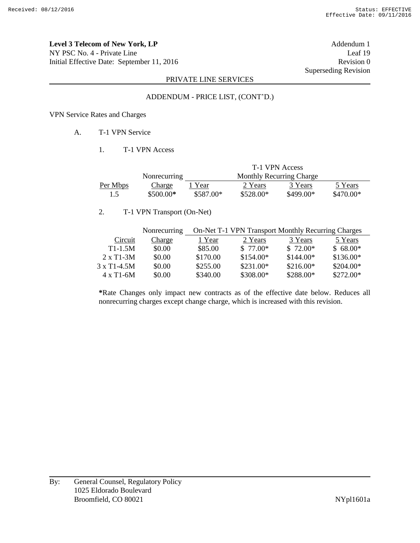**Level 3 Telecom of New York, LP** Addendum 1 NY PSC No. 4 - Private Line Leaf 19 Initial Effective Date: September 11, 2016 Revision 0

Superseding Revision

## PRIVATE LINE SERVICES

#### ADDENDUM - PRICE LIST, (CONT'D.)

#### VPN Service Rates and Charges

## A. T-1 VPN Service

#### 1. T-1 VPN Access

|          |              | T-1 VPN Access |                                 |            |            |
|----------|--------------|----------------|---------------------------------|------------|------------|
|          | Nonrecurring |                | <b>Monthly Recurring Charge</b> |            |            |
| Per Mbps | Charge       | Year           | 2 Years                         | 3 Years    | 5 Years    |
| 1.5      | $$500.00*$   | \$587.00*      | $$528.00*$                      | $$499.00*$ | $$470.00*$ |

## 2. T-1 VPN Transport (On-Net)

|                      | Nonrecurring | On-Net T-1 VPN Transport Monthly Recurring Charges |            |            |            |
|----------------------|--------------|----------------------------------------------------|------------|------------|------------|
| Circuit              | Charge       | 1 Year                                             | 2 Years    | 3 Years    | 5 Years    |
| $T1-1.5M$            | \$0.00       | \$85.00                                            | $$77.00*$  | $$72.00*$  | $$68.00*$  |
| $2 \times T1 - 3M$   | \$0.00       | \$170.00                                           | \$154.00*  | $$144.00*$ | $$136.00*$ |
| $3 \times T1 - 4.5M$ | \$0.00       | \$255.00                                           | $$231.00*$ | $$216.00*$ | \$204.00*  |
| $4 \times T1 - 6M$   | \$0.00       | \$340.00                                           | \$308.00*  | \$288.00*  | $$272.00*$ |

**\***Rate Changes only impact new contracts as of the effective date below. Reduces all nonrecurring charges except change charge, which is increased with this revision.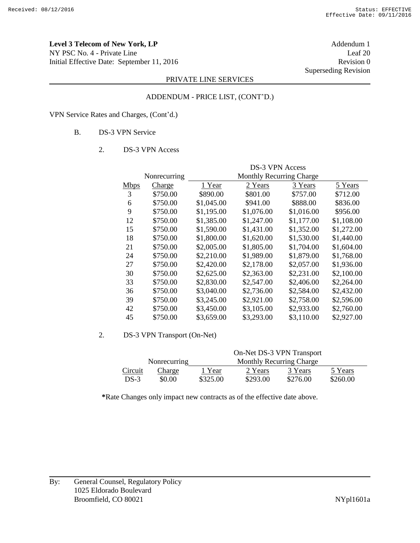**Level 3 Telecom of New York, LP** Addendum 1 NY PSC No. 4 - Private Line Leaf 20 Initial Effective Date: September 11, 2016 Revision 0

Superseding Revision

## PRIVATE LINE SERVICES

# ADDENDUM - PRICE LIST, (CONT'D.)

VPN Service Rates and Charges, (Cont'd.)

#### B. DS-3 VPN Service

#### 2. DS-3 VPN Access

|             | Nonrecurring | DS-3 VPN Access<br><b>Monthly Recurring Charge</b> |            |            |            |
|-------------|--------------|----------------------------------------------------|------------|------------|------------|
|             |              | 1 Year                                             |            |            |            |
| <b>Mbps</b> | Charge       |                                                    | 2 Years    | 3 Years    | 5 Years    |
| 3           | \$750.00     | \$890.00                                           | \$801.00   | \$757.00   | \$712.00   |
| 6           | \$750.00     | \$1,045.00                                         | \$941.00   | \$888.00   | \$836.00   |
| 9           | \$750.00     | \$1,195.00                                         | \$1,076.00 | \$1,016.00 | \$956.00   |
| 12          | \$750.00     | \$1,385.00                                         | \$1,247.00 | \$1,177.00 | \$1,108.00 |
| 15          | \$750.00     | \$1,590.00                                         | \$1,431.00 | \$1,352.00 | \$1,272.00 |
| 18          | \$750.00     | \$1,800.00                                         | \$1,620.00 | \$1,530.00 | \$1,440.00 |
| 21          | \$750.00     | \$2,005.00                                         | \$1,805.00 | \$1,704.00 | \$1,604.00 |
| 24          | \$750.00     | \$2,210.00                                         | \$1,989.00 | \$1,879.00 | \$1,768.00 |
| 27          | \$750.00     | \$2,420.00                                         | \$2,178.00 | \$2,057.00 | \$1,936.00 |
| 30          | \$750.00     | \$2,625.00                                         | \$2,363.00 | \$2,231.00 | \$2,100.00 |
| 33          | \$750.00     | \$2,830.00                                         | \$2,547.00 | \$2,406.00 | \$2,264.00 |
| 36          | \$750.00     | \$3,040.00                                         | \$2,736.00 | \$2,584.00 | \$2,432.00 |
| 39          | \$750.00     | \$3,245.00                                         | \$2,921.00 | \$2,758.00 | \$2,596.00 |
| 42          | \$750.00     | \$3,450.00                                         | \$3,105.00 | \$2,933.00 | \$2,760.00 |
| 45          | \$750.00     | \$3,659.00                                         | \$3,293.00 | \$3,110.00 | \$2,927.00 |

#### 2. DS-3 VPN Transport (On-Net)

|         |              | On-Net DS-3 VPN Transport |                                 |          |          |
|---------|--------------|---------------------------|---------------------------------|----------|----------|
|         | Nonrecurring |                           | <b>Monthly Recurring Charge</b> |          |          |
| Circuit | Charge       | 1 Year                    | 2 Years                         | 3 Years  | 5 Years  |
| $DS-3$  | \$0.00       | \$325.00                  | \$293.00                        | \$276.00 | \$260.00 |

**\***Rate Changes only impact new contracts as of the effective date above.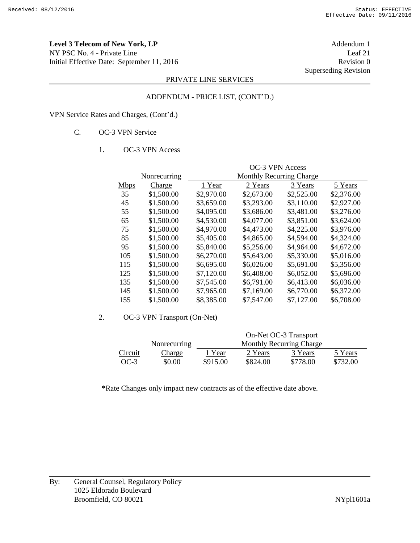**Level 3 Telecom of New York, LP** Addendum 1 NY PSC No. 4 - Private Line Leaf 21 Initial Effective Date: September 11, 2016 Revision 0

Superseding Revision

## PRIVATE LINE SERVICES

### ADDENDUM - PRICE LIST, (CONT'D.)

VPN Service Rates and Charges, (Cont'd.)

## C. OC-3 VPN Service

#### 1. OC-3 VPN Access

|             |              | <b>OC-3 VPN Access</b>   |            |            |            |
|-------------|--------------|--------------------------|------------|------------|------------|
|             | Nonrecurring | Monthly Recurring Charge |            |            |            |
| <b>Mbps</b> | Charge       | 1 Year                   | 2 Years    | 3 Years    | 5 Years    |
| 35          | \$1,500.00   | \$2,970.00               | \$2,673.00 | \$2,525.00 | \$2,376.00 |
| 45          | \$1,500.00   | \$3,659.00               | \$3,293.00 | \$3,110.00 | \$2,927.00 |
| 55          | \$1,500.00   | \$4,095.00               | \$3,686.00 | \$3,481.00 | \$3,276.00 |
| 65          | \$1,500.00   | \$4,530.00               | \$4,077.00 | \$3,851.00 | \$3,624.00 |
| 75          | \$1,500.00   | \$4,970.00               | \$4,473.00 | \$4,225.00 | \$3,976.00 |
| 85          | \$1,500.00   | \$5,405.00               | \$4,865.00 | \$4,594.00 | \$4,324.00 |
| 95          | \$1,500.00   | \$5,840.00               | \$5,256.00 | \$4,964.00 | \$4,672.00 |
| 105         | \$1,500.00   | \$6,270.00               | \$5,643.00 | \$5,330.00 | \$5,016.00 |
| 115         | \$1,500.00   | \$6,695.00               | \$6,026.00 | \$5,691.00 | \$5,356.00 |
| 125         | \$1,500.00   | \$7,120.00               | \$6,408.00 | \$6,052.00 | \$5,696.00 |
| 135         | \$1,500.00   | \$7,545.00               | \$6,791.00 | \$6,413.00 | \$6,036.00 |
| 145         | \$1,500.00   | \$7,965.00               | \$7,169.00 | \$6,770.00 | \$6,372.00 |
| 155         | \$1,500.00   | \$8,385.00               | \$7,547.00 | \$7,127.00 | \$6,708.00 |

#### 2. OC-3 VPN Transport (On-Net)

|         |               | On-Net OC-3 Transport |          |                                 |          |
|---------|---------------|-----------------------|----------|---------------------------------|----------|
|         | Nonrecurring  |                       |          | <b>Monthly Recurring Charge</b> |          |
| Circuit | <b>Charge</b> | 1 Year                | 2 Years  | 3 Years                         | 5 Years  |
| $OC-3$  | \$0.00        | \$915.00              | \$824.00 | \$778.00                        | \$732.00 |

**\***Rate Changes only impact new contracts as of the effective date above.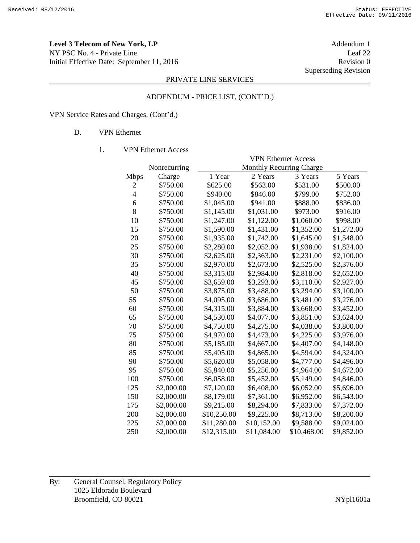**Level 3 Telecom of New York, LP** Addendum 1 NY PSC No. 4 - Private Line Leaf 22 Initial Effective Date: September 11, 2016 Revision 0

Superseding Revision

## PRIVATE LINE SERVICES

#### ADDENDUM - PRICE LIST, (CONT'D.)

VPN Service Rates and Charges, (Cont'd.)

## D. VPN Ethernet

#### 1. VPN Ethernet Access

|                |              | <b>VPN Ethernet Access</b>      |             |             |            |
|----------------|--------------|---------------------------------|-------------|-------------|------------|
|                | Nonrecurring | <b>Monthly Recurring Charge</b> |             |             |            |
| <b>Mbps</b>    | Charge       | 1 Year                          | 2 Years     | 3 Years     | 5 Years    |
| 2              | \$750.00     | \$625.00                        | \$563.00    | \$531.00    | \$500.00   |
| $\overline{4}$ | \$750.00     | \$940.00                        | \$846.00    | \$799.00    | \$752.00   |
| 6              | \$750.00     | \$1,045.00                      | \$941.00    | \$888.00    | \$836.00   |
| 8              | \$750.00     | \$1,145.00                      | \$1,031.00  | \$973.00    | \$916.00   |
| 10             | \$750.00     | \$1,247.00                      | \$1,122.00  | \$1,060.00  | \$998.00   |
| 15             | \$750.00     | \$1,590.00                      | \$1,431.00  | \$1,352.00  | \$1,272.00 |
| 20             | \$750.00     | \$1,935.00                      | \$1,742.00  | \$1,645.00  | \$1,548.00 |
| 25             | \$750.00     | \$2,280.00                      | \$2,052.00  | \$1,938.00  | \$1,824.00 |
| 30             | \$750.00     | \$2,625.00                      | \$2,363.00  | \$2,231.00  | \$2,100.00 |
| 35             | \$750.00     | \$2,970.00                      | \$2,673.00  | \$2,525.00  | \$2,376.00 |
| 40             | \$750.00     | \$3,315.00                      | \$2,984.00  | \$2,818.00  | \$2,652.00 |
| 45             | \$750.00     | \$3,659.00                      | \$3,293.00  | \$3,110.00  | \$2,927.00 |
| 50             | \$750.00     | \$3,875.00                      | \$3,488.00  | \$3,294.00  | \$3,100.00 |
| 55             | \$750.00     | \$4,095.00                      | \$3,686.00  | \$3,481.00  | \$3,276.00 |
| 60             | \$750.00     | \$4,315.00                      | \$3,884.00  | \$3,668.00  | \$3,452.00 |
| 65             | \$750.00     | \$4,530.00                      | \$4,077.00  | \$3,851.00  | \$3,624.00 |
| 70             | \$750.00     | \$4,750.00                      | \$4,275.00  | \$4,038.00  | \$3,800.00 |
| 75             | \$750.00     | \$4,970.00                      | \$4,473.00  | \$4,225.00  | \$3,976.00 |
| 80             | \$750.00     | \$5,185.00                      | \$4,667.00  | \$4,407.00  | \$4,148.00 |
| 85             | \$750.00     | \$5,405.00                      | \$4,865.00  | \$4,594.00  | \$4,324.00 |
| 90             | \$750.00     | \$5,620.00                      | \$5,058.00  | \$4,777.00  | \$4,496.00 |
| 95             | \$750.00     | \$5,840.00                      | \$5,256.00  | \$4,964.00  | \$4,672.00 |
| 100            | \$750.00     | \$6,058.00                      | \$5,452.00  | \$5,149.00  | \$4,846.00 |
| 125            | \$2,000.00   | \$7,120.00                      | \$6,408.00  | \$6,052.00  | \$5,696.00 |
| 150            | \$2,000.00   | \$8,179.00                      | \$7,361.00  | \$6,952.00  | \$6,543.00 |
| 175            | \$2,000.00   | \$9,215.00                      | \$8,294.00  | \$7,833.00  | \$7,372.00 |
| 200            | \$2,000.00   | \$10,250.00                     | \$9,225.00  | \$8,713.00  | \$8,200.00 |
| 225            | \$2,000.00   | \$11,280.00                     | \$10,152.00 | \$9,588.00  | \$9,024.00 |
| 250            | \$2,000.00   | \$12,315.00                     | \$11,084.00 | \$10,468.00 | \$9,852.00 |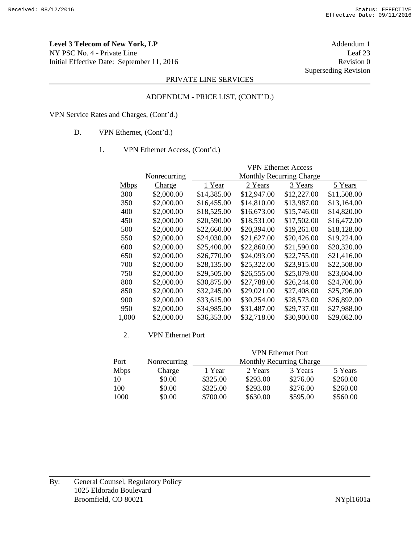**Level 3 Telecom of New York, LP** Addendum 1 NY PSC No. 4 - Private Line Leaf 23 Initial Effective Date: September 11, 2016 Revision 0

Superseding Revision

## PRIVATE LINE SERVICES

#### ADDENDUM - PRICE LIST, (CONT'D.)

VPN Service Rates and Charges, (Cont'd.)

- D. VPN Ethernet, (Cont'd.)
	- 1. VPN Ethernet Access, (Cont'd.)

|             |              | <b>VPN Ethernet Access</b>      |             |             |             |
|-------------|--------------|---------------------------------|-------------|-------------|-------------|
|             | Nonrecurring | <b>Monthly Recurring Charge</b> |             |             |             |
| <b>Mbps</b> | Charge       | 1 Year                          | 2 Years     | 3 Years     | 5 Years     |
| 300         | \$2,000.00   | \$14,385.00                     | \$12,947.00 | \$12,227.00 | \$11,508.00 |
| 350         | \$2,000.00   | \$16,455.00                     | \$14,810.00 | \$13,987.00 | \$13,164.00 |
| 400         | \$2,000.00   | \$18,525.00                     | \$16,673.00 | \$15,746.00 | \$14,820.00 |
| 450         | \$2,000.00   | \$20,590.00                     | \$18,531.00 | \$17,502.00 | \$16,472.00 |
| 500         | \$2,000.00   | \$22,660.00                     | \$20,394.00 | \$19,261.00 | \$18,128.00 |
| 550         | \$2,000.00   | \$24,030.00                     | \$21,627.00 | \$20,426.00 | \$19,224.00 |
| 600         | \$2,000.00   | \$25,400.00                     | \$22,860.00 | \$21,590.00 | \$20,320.00 |
| 650         | \$2,000.00   | \$26,770.00                     | \$24,093.00 | \$22,755.00 | \$21,416.00 |
| 700         | \$2,000.00   | \$28,135.00                     | \$25,322.00 | \$23,915.00 | \$22,508.00 |
| 750         | \$2,000.00   | \$29,505.00                     | \$26,555.00 | \$25,079.00 | \$23,604.00 |
| 800         | \$2,000.00   | \$30,875.00                     | \$27,788.00 | \$26,244.00 | \$24,700.00 |
| 850         | \$2,000.00   | \$32,245.00                     | \$29,021.00 | \$27,408.00 | \$25,796.00 |
| 900         | \$2,000.00   | \$33,615.00                     | \$30,254.00 | \$28,573.00 | \$26,892.00 |
| 950         | \$2,000.00   | \$34,985.00                     | \$31,487.00 | \$29,737.00 | \$27,988.00 |
| 1,000       | \$2,000.00   | \$36,353.00                     | \$32,718.00 | \$30,900.00 | \$29,082.00 |

#### 2. VPN Ethernet Port

|             |              | <b>VPN</b> Ethernet Port |          |          |          |
|-------------|--------------|--------------------------|----------|----------|----------|
| <u>Port</u> | Nonrecurring | Monthly Recurring Charge |          |          |          |
| <b>Mbps</b> | Charge       | 1 Year                   | 2 Years  | 3 Years  | 5 Years  |
| 10          | \$0.00       | \$325.00                 | \$293.00 | \$276.00 | \$260.00 |
| 100         | \$0.00       | \$325.00                 | \$293.00 | \$276.00 | \$260.00 |
| 1000        | \$0.00       | \$700.00                 | \$630.00 | \$595.00 | \$560.00 |